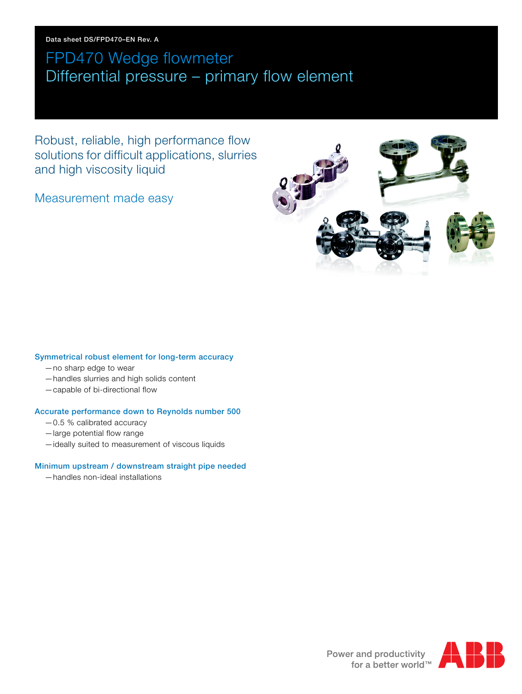Data sheet DS/FPD470–EN Rev. A

# FPD470 Wedge flowmeter Differential pressure – primary flow element

Robust, reliable, high performance flow solutions for difficult applications, slurries and high viscosity liquid

Measurement made easy



#### Symmetrical robust element for long-term accuracy

- —no sharp edge to wear
- —handles slurries and high solids content
- —capable of bi-directional flow

#### Accurate performance down to Reynolds number 500

- —0.5 % calibrated accuracy
- —large potential flow range
- —ideally suited to measurement of viscous liquids

#### Minimum upstream / downstream straight pipe needed

—handles non-ideal installations



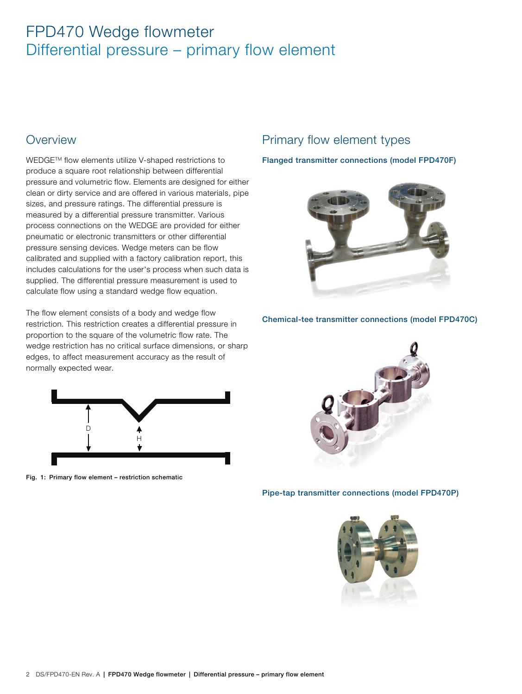### **Overview**

WEDGETM flow elements utilize V-shaped restrictions to produce a square root relationship between differential pressure and volumetric flow. Elements are designed for either clean or dirty service and are offered in various materials, pipe sizes, and pressure ratings. The differential pressure is measured by a differential pressure transmitter. Various process connections on the WEDGE are provided for either pneumatic or electronic transmitters or other differential pressure sensing devices. Wedge meters can be flow calibrated and supplied with a factory calibration report, this includes calculations for the user's process when such data is supplied. The differential pressure measurement is used to calculate flow using a standard wedge flow equation.

The flow element consists of a body and wedge flow restriction. This restriction creates a differential pressure in proportion to the square of the volumetric flow rate. The wedge restriction has no critical surface dimensions, or sharp edges, to affect measurement accuracy as the result of normally expected wear.

<span id="page-1-0"></span>

Fig. 1: Primary flow element – restriction schematic

### Primary flow element types

#### Flanged transmitter connections (model FPD470F)



Chemical-tee transmitter connections (model FPD470C)



#### Pipe-tap transmitter connections (model FPD470P)

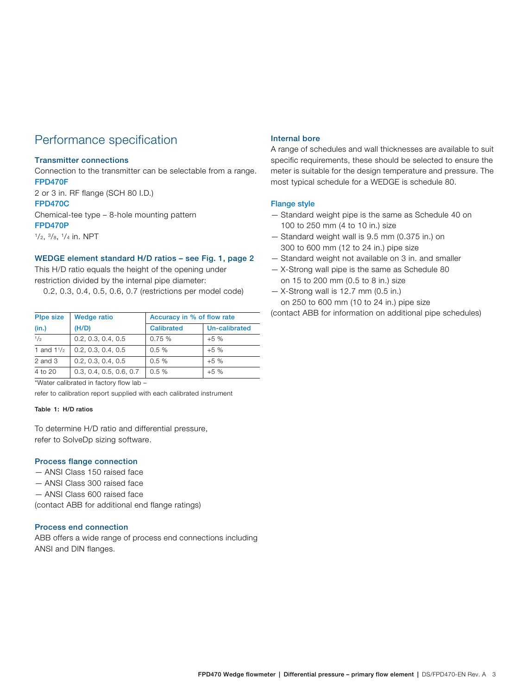### Performance specification

#### Transmitter connections

Connection to the transmitter can be selectable from a range. FPD470F

2 or 3 in. RF flange (SCH 80 I.D.) FPD470C

Chemical-tee type – 8-hole mounting pattern FPD470P

 $1/2$ ,  $3/8$ ,  $1/4$  in. NPT

#### WEDGE element standard H/D ratios – see Fig. [1](#page-1-0), page [2](#page-1-0)

This H/D ratio equals the height of the opening under restriction divided by the internal pipe diameter:

0.2, 0.3, 0.4, 0.5, 0.6, 0.7 (restrictions per model code)

| <b>Plpe size</b>     | <b>Wedge ratio</b>      | Accuracy in % of flow rate |               |
|----------------------|-------------------------|----------------------------|---------------|
| (in.)                | (H/D)                   | <b>Calibrated</b>          | Un-calibrated |
| 1/2                  | 0.2, 0.3, 0.4, 0.5      | 0.75%                      | $+5%$         |
| 1 and $1\frac{1}{2}$ | 0.2, 0.3, 0.4, 0.5      | 0.5%                       | $+5%$         |
| $2$ and $3$          | 0.2, 0.3, 0.4, 0.5      | 0.5%                       | $+5%$         |
| $4$ to $20$          | 0.3, 0.4, 0.5, 0.6, 0.7 | 0.5%                       | $+5%$         |

\*Water calibrated in factory flow lab –

refer to calibration report supplied with each calibrated instrument

#### Table 1: H/D ratios

To determine H/D ratio and differential pressure, refer to SolveDp sizing software.

#### Process flange connection

- ANSI Class 150 raised face
- ANSI Class 300 raised face
- ANSI Class 600 raised face

(contact ABB for additional end flange ratings)

#### Process end connection

ABB offers a wide range of process end connections including ANSI and DIN flanges.

#### Internal bore

A range of schedules and wall thicknesses are available to suit specific requirements, these should be selected to ensure the meter is suitable for the design temperature and pressure. The most typical schedule for a WEDGE is schedule 80.

#### Flange style

- Standard weight pipe is the same as Schedule 40 on 100 to 250 mm (4 to 10 in.) size
- Standard weight wall is 9.5 mm (0.375 in.) on 300 to 600 mm (12 to 24 in.) pipe size
- Standard weight not available on 3 in. and smaller
- X-Strong wall pipe is the same as Schedule 80 on 15 to 200 mm (0.5 to 8 in.) size
- $-$  X-Strong wall is 12.7 mm (0.5 in.) on 250 to 600 mm (10 to 24 in.) pipe size

(contact ABB for information on additional pipe schedules)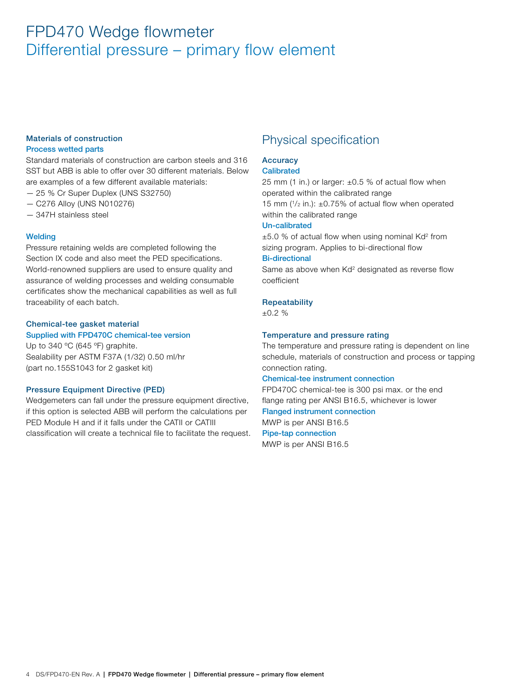#### Materials of construction Process wetted parts

Standard materials of construction are carbon steels and 316 SST but ABB is able to offer over 30 different materials. Below are examples of a few different available materials:

- 25 % Cr Super Duplex (UNS S32750)
- C276 Alloy (UNS N010276)
- 347H stainless steel

#### **Welding**

Pressure retaining welds are completed following the Section IX code and also meet the PED specifications. World-renowned suppliers are used to ensure quality and assurance of welding processes and welding consumable certificates show the mechanical capabilities as well as full traceability of each batch.

#### Chemical-tee gasket material Supplied with FPD470C chemical-tee version

Up to 340 °C (645 °F) graphite. Sealability per ASTM F37A (1/32) 0.50 ml/hr (part no.155S1043 for 2 gasket kit)

#### Pressure Equipment Directive (PED)

Wedgemeters can fall under the pressure equipment directive, if this option is selected ABB will perform the calculations per PED Module H and if it falls under the CATII or CATIII classification will create a technical file to facilitate the request.

### Physical specification

### **Accuracy**

#### **Calibrated**

25 mm (1 in.) or larger:  $\pm 0.5$  % of actual flow when operated within the calibrated range 15 mm  $(1/2 \text{ in.})$ :  $\pm 0.75\%$  of actual flow when operated within the calibrated range

#### Un-calibrated

 $\pm$ 5.0 % of actual flow when using nominal Kd<sup>2</sup> from sizing program. Applies to bi-directional flow Bi-directional

Same as above when Kd<sup>2</sup> designated as reverse flow coefficient

#### **Repeatability**

±0.2 %

#### Temperature and pressure rating

The temperature and pressure rating is dependent on line schedule, materials of construction and process or tapping connection rating.

#### Chemical-tee instrument connection

FPD470C chemical-tee is 300 psi max. or the end flange rating per ANSI B16.5, whichever is lower Flanged instrument connection MWP is per ANSI B16.5 Pipe-tap connection

MWP is per ANSI B16.5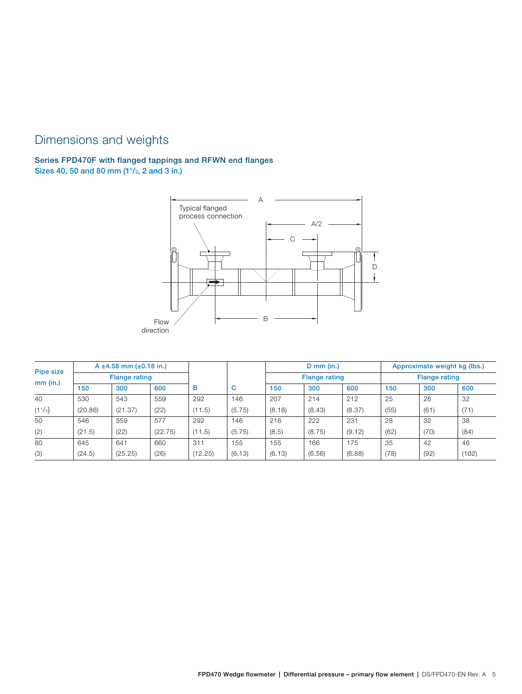### Dimensions and weights

### Series FPD470F with flanged tappings and RFWN end flanges Sizes 40, 50 and 80 mm (11/2, 2 and 3 in.)



|            |         | A $\pm$ 4.58 mm ( $\pm$ 0.18 in.) |         |         |        |        | $D$ mm (in.)         |        |      | Approximate weight kg (lbs.) |       |
|------------|---------|-----------------------------------|---------|---------|--------|--------|----------------------|--------|------|------------------------------|-------|
| Pipe size  |         | <b>Flange rating</b>              |         |         |        |        | <b>Flange rating</b> |        |      | <b>Flange rating</b>         |       |
| $mm$ (in.) | 150     | 300                               | 600     | в       | с      | 150    | 300                  | 600    | 150  | 300                          | 600   |
| 40         | 530     | 543                               | 559     | 292     | 146    | 207    | 214                  | 212    | 25   | 28                           | 32    |
| (11/2)     | (20.86) | (21.37)                           | (22)    | (11.5)  | (5.75) | (8.18) | (8.43)               | (8.37) | (55) | (61)                         | (71)  |
| 50         | 546     | 559                               | 577     | 292     | 146    | 216    | 222                  | 231    | 28   | 32                           | 38    |
| (2)        | (21.5)  | (22)                              | (22.75) | (11.5)  | (5.75) | (8.5)  | (8.75)               | (9.12) | (62) | (70)                         | (84)  |
| 80         | 645     | 641                               | 660     | 311     | 155    | 155    | 166                  | 175    | 35   | 42                           | 46    |
| (3)        | (24.5)  | (25.25)                           | (26)    | (12.25) | (6.13) | (6.13) | (6.56)               | (6.88) | (78) | (92)                         | (102) |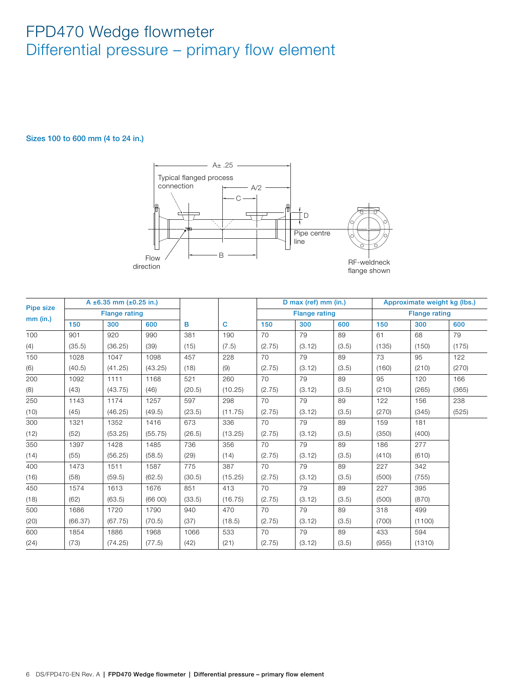#### Sizes 100 to 600 mm (4 to 24 in.)



| <b>Pipe size</b> |         | A $\pm$ 6.35 mm ( $\pm$ 0.25 in.) |         |        |         |        | D max (ref) mm (in.) |       |       | Approximate weight kg (lbs.) |       |
|------------------|---------|-----------------------------------|---------|--------|---------|--------|----------------------|-------|-------|------------------------------|-------|
|                  |         | <b>Flange rating</b>              |         |        |         |        | <b>Flange rating</b> |       |       | <b>Flange rating</b>         |       |
| $mm$ (in.)       | 150     | 300                               | 600     | B      | C       | 150    | 300                  | 600   | 150   | 300                          | 600   |
| 100              | 901     | 920                               | 990     | 381    | 190     | 70     | 79                   | 89    | 61    | 68                           | 79    |
| (4)              | (35.5)  | (36.25)                           | (39)    | (15)   | (7.5)   | (2.75) | (3.12)               | (3.5) | (135) | (150)                        | (175) |
| 150              | 1028    | 1047                              | 1098    | 457    | 228     | 70     | 79                   | 89    | 73    | 95                           | 122   |
| (6)              | (40.5)  | (41.25)                           | (43.25) | (18)   | (9)     | (2.75) | (3.12)               | (3.5) | (160) | (210)                        | (270) |
| 200              | 1092    | 1111                              | 1168    | 521    | 260     | 70     | 79                   | 89    | 95    | 120                          | 166   |
| (8)              | (43)    | (43.75)                           | (46)    | (20.5) | (10.25) | (2.75) | (3.12)               | (3.5) | (210) | (265)                        | (365) |
| 250              | 1143    | 1174                              | 1257    | 597    | 298     | 70     | 79                   | 89    | 122   | 156                          | 238   |
| (10)             | (45)    | (46.25)                           | (49.5)  | (23.5) | (11.75) | (2.75) | (3.12)               | (3.5) | (270) | (345)                        | (525) |
| 300              | 1321    | 1352                              | 1416    | 673    | 336     | 70     | 79                   | 89    | 159   | 181                          |       |
| (12)             | (52)    | (53.25)                           | (55.75) | (26.5) | (13.25) | (2.75) | (3.12)               | (3.5) | (350) | (400)                        |       |
| 350              | 1397    | 1428                              | 1485    | 736    | 356     | 70     | 79                   | 89    | 186   | 277                          |       |
| (14)             | (55)    | (56.25)                           | (58.5)  | (29)   | (14)    | (2.75) | (3.12)               | (3.5) | (410) | (610)                        |       |
| 400              | 1473    | 1511                              | 1587    | 775    | 387     | 70     | 79                   | 89    | 227   | 342                          |       |
| (16)             | (58)    | (59.5)                            | (62.5)  | (30.5) | (15.25) | (2.75) | (3.12)               | (3.5) | (500) | (755)                        |       |
| 450              | 1574    | 1613                              | 1676    | 851    | 413     | 70     | 79                   | 89    | 227   | 395                          |       |
| (18)             | (62)    | (63.5)                            | (6600)  | (33.5) | (16.75) | (2.75) | (3.12)               | (3.5) | (500) | (870)                        |       |
| 500              | 1686    | 1720                              | 1790    | 940    | 470     | 70     | 79                   | 89    | 318   | 499                          |       |
| (20)             | (66.37) | (67.75)                           | (70.5)  | (37)   | (18.5)  | (2.75) | (3.12)               | (3.5) | (700) | (1100)                       |       |
| 600              | 1854    | 1886                              | 1968    | 1066   | 533     | 70     | 79                   | 89    | 433   | 594                          |       |
| (24)             | (73)    | (74.25)                           | (77.5)  | (42)   | (21)    | (2.75) | (3.12)               | (3.5) | (955) | (1310)                       |       |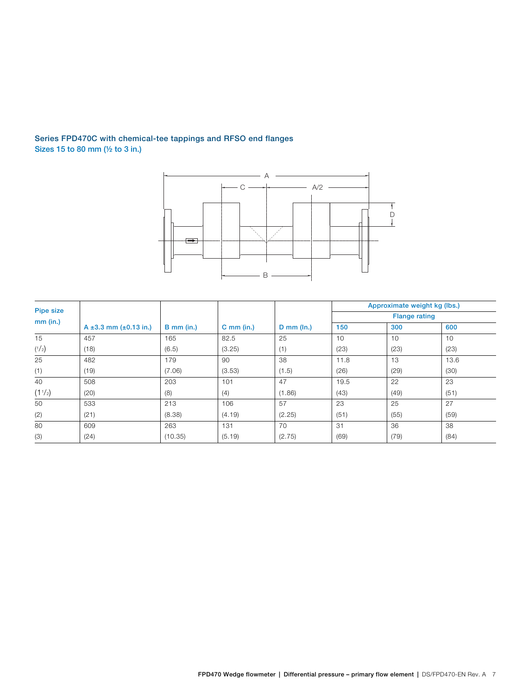### Series FPD470C with chemical-tee tappings and RFSO end flanges Sizes 15 to 80 mm (½ to 3 in.)



|                  |                                  |              |              |                   |      | Approximate weight kg (lbs.) |      |
|------------------|----------------------------------|--------------|--------------|-------------------|------|------------------------------|------|
| <b>Pipe size</b> |                                  |              |              |                   |      | <b>Flange rating</b>         |      |
| $mm$ (in.)       | A $\pm 3.3$ mm ( $\pm 0.13$ in.) | $B$ mm (in.) | $C$ mm (in.) | $D$ mm ( $\ln$ .) | 150  | 300                          | 600  |
| 15               | 457                              | 165          | 82.5         | 25                | 10   | 10                           | 10   |
| $(^{1}/_{2})$    | (18)                             | (6.5)        | (3.25)       | (1)               | (23) | (23)                         | (23) |
| 25               | 482                              | 179          | 90           | 38                | 11.8 | 13                           | 13.6 |
| (1)              | (19)                             | (7.06)       | (3.53)       | (1.5)             | (26) | (29)                         | (30) |
| 40               | 508                              | 203          | 101          | 47                | 19.5 | 22                           | 23   |
| (11/2)           | (20)                             | (8)          | (4)          | (1.86)            | (43) | (49)                         | (51) |
| 50               | 533                              | 213          | 106          | 57                | 23   | 25                           | 27   |
| (2)              | (21)                             | (8.38)       | (4.19)       | (2.25)            | (51) | (55)                         | (59) |
| 80               | 609                              | 263          | 131          | 70                | 31   | 36                           | 38   |
| (3)              | (24)                             | (10.35)      | (5.19)       | (2.75)            | (69) | (79)                         | (84) |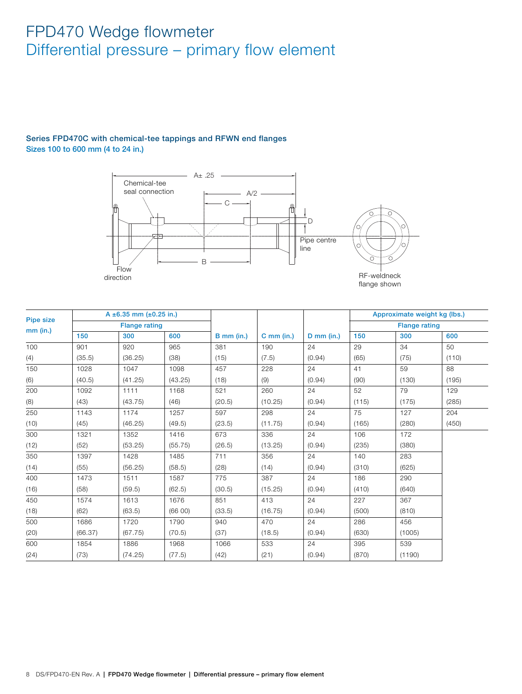#### Series FPD470C with chemical-tee tappings and RFWN end flanges Sizes 100 to 600 mm (4 to 24 in.)



| Pipe size  |         | A $\pm$ 6.35 mm ( $\pm$ 0.25 in.) |         |              |              |              |       | Approximate weight kg (lbs.) |       |
|------------|---------|-----------------------------------|---------|--------------|--------------|--------------|-------|------------------------------|-------|
|            |         | <b>Flange rating</b>              |         |              |              |              |       | <b>Flange rating</b>         |       |
| $mm$ (in.) | 150     | 300                               | 600     | $B$ mm (in.) | $C$ mm (in.) | $D$ mm (in.) | 150   | 300                          | 600   |
| 100        | 901     | 920                               | 965     | 381          | 190          | 24           | 29    | 34                           | 50    |
| (4)        | (35.5)  | (36.25)                           | (38)    | (15)         | (7.5)        | (0.94)       | (65)  | (75)                         | (110) |
| 150        | 1028    | 1047                              | 1098    | 457          | 228          | 24           | 41    | 59                           | 88    |
| (6)        | (40.5)  | (41.25)                           | (43.25) | (18)         | (9)          | (0.94)       | (90)  | (130)                        | (195) |
| 200        | 1092    | 1111                              | 1168    | 521          | 260          | 24           | 52    | 79                           | 129   |
| (8)        | (43)    | (43.75)                           | (46)    | (20.5)       | (10.25)      | (0.94)       | (115) | (175)                        | (285) |
| 250        | 1143    | 1174                              | 1257    | 597          | 298          | 24           | 75    | 127                          | 204   |
| (10)       | (45)    | (46.25)                           | (49.5)  | (23.5)       | (11.75)      | (0.94)       | (165) | (280)                        | (450) |
| 300        | 1321    | 1352                              | 1416    | 673          | 336          | 24           | 106   | 172                          |       |
| (12)       | (52)    | (53.25)                           | (55.75) | (26.5)       | (13.25)      | (0.94)       | (235) | (380)                        |       |
| 350        | 1397    | 1428                              | 1485    | 711          | 356          | 24           | 140   | 283                          |       |
| (14)       | (55)    | (56.25)                           | (58.5)  | (28)         | (14)         | (0.94)       | (310) | (625)                        |       |
| 400        | 1473    | 1511                              | 1587    | 775          | 387          | 24           | 186   | 290                          |       |
| (16)       | (58)    | (59.5)                            | (62.5)  | (30.5)       | (15.25)      | (0.94)       | (410) | (640)                        |       |
| 450        | 1574    | 1613                              | 1676    | 851          | 413          | 24           | 227   | 367                          |       |
| (18)       | (62)    | (63.5)                            | (66 00) | (33.5)       | (16.75)      | (0.94)       | (500) | (810)                        |       |
| 500        | 1686    | 1720                              | 1790    | 940          | 470          | 24           | 286   | 456                          |       |
| (20)       | (66.37) | (67.75)                           | (70.5)  | (37)         | (18.5)       | (0.94)       | (630) | (1005)                       |       |
| 600        | 1854    | 1886                              | 1968    | 1066         | 533          | 24           | 395   | 539                          |       |
| (24)       | (73)    | (74.25)                           | (77.5)  | (42)         | (21)         | (0.94)       | (870) | (1190)                       |       |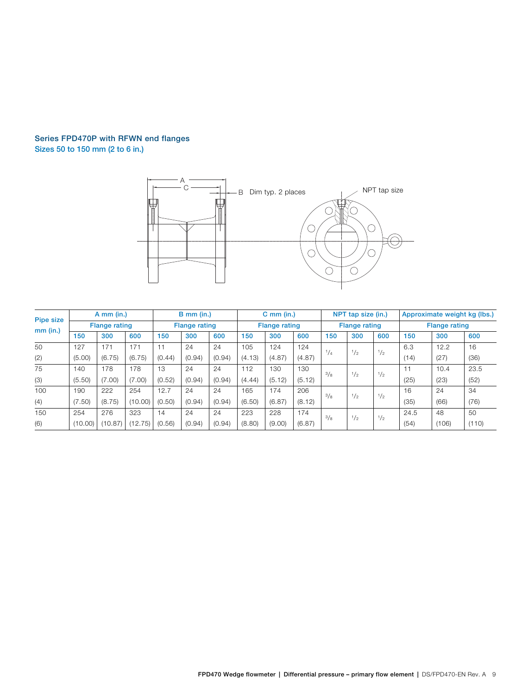### Series FPD470P with RFWN end flanges

Sizes 50 to 150 mm (2 to 6 in.)



| <b>Pipe size</b> |         | $A$ mm (in.)         |         |        | $B$ mm (in.)         |        |        | $C$ mm (in.)         |        |     | NPT tap size (in.)   |     |      | Approximate weight kg (lbs.) |       |
|------------------|---------|----------------------|---------|--------|----------------------|--------|--------|----------------------|--------|-----|----------------------|-----|------|------------------------------|-------|
|                  |         | <b>Flange rating</b> |         |        | <b>Flange rating</b> |        |        | <b>Flange rating</b> |        |     | <b>Flange rating</b> |     |      | <b>Flange rating</b>         |       |
| $mm$ (in.)       | 150     | 300                  | 600     | 150    | 300                  | 600    | 150    | 300                  | 600    | 150 | 300                  | 600 | 150  | 300                          | 600   |
| 50               | 127     | 171                  | 171     | 11     | 24                   | 24     | 105    | 124                  | 124    | 1/4 | $^{1}/_{2}$          | 1/2 | 6.3  | 12.2                         | 16    |
| (2)              | (5.00)  | (6.75)               | (6.75)  | (0.44) | (0.94)               | (0.94) | (4.13) | (4.87)               | (4.87) |     |                      |     | (14) | (27)                         | (36)  |
| 75               | 140     | 178                  | 178     | 13     | 24                   | 24     | 112    | 130                  | 130    | 3/8 | 1/2                  | 1/2 | 11   | 10.4                         | 23.5  |
| (3)              | (5.50)  | (7.00)               | (7.00)  | (0.52) | (0.94)               | (0.94) | (4.44) | (5.12)               | (5.12) |     |                      |     | (25) | (23)                         | (52)  |
| 100              | 190     | 222                  | 254     | 12.7   | 24                   | 24     | 165    | 174                  | 206    | 3/8 | 1/2                  | 1/2 | 16   | 24                           | 34    |
| (4)              | (7.50)  | (8.75)               | (10.00) | (0.50) | (0.94)               | (0.94) | (6.50) | (6.87)               | (8.12) |     |                      |     | (35) | (66)                         | (76)  |
| 150              | 254     | 276                  | 323     | 14     | 24                   | 24     | 223    | 228                  | 174    | 3/8 | 1/2                  | 1/2 | 24.5 | 48                           | 50    |
| (6)              | (10.00) | (10.87)              | (12.75) | (0.56) | (0.94)               | (0.94) | (8.80) | (9.00)               | (6.87) |     |                      |     | (54) | (106)                        | (110) |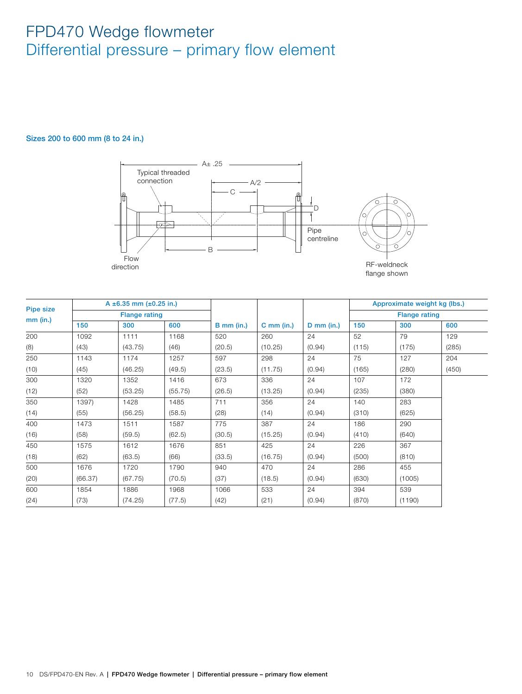#### Sizes 200 to 600 mm (8 to 24 in.)



|                  |         | A $\pm$ 6.35 mm ( $\pm$ 0.25 in.) |         |              |              |              |       | Approximate weight kg (lbs.) |       |
|------------------|---------|-----------------------------------|---------|--------------|--------------|--------------|-------|------------------------------|-------|
| <b>Pipe size</b> |         | <b>Flange rating</b>              |         |              |              |              |       | <b>Flange rating</b>         |       |
| $mm$ (in.)       | 150     | 300                               | 600     | $B$ mm (in.) | $C$ mm (in.) | $D$ mm (in.) | 150   | 300                          | 600   |
| 200              | 1092    | 1111                              | 1168    | 520          | 260          | 24           | 52    | 79                           | 129   |
| (8)              | (43)    | (43.75)                           | (46)    | (20.5)       | (10.25)      | (0.94)       | (115) | (175)                        | (285) |
| 250              | 1143    | 1174                              | 1257    | 597          | 298          | 24           | 75    | 127                          | 204   |
| (10)             | (45)    | (46.25)                           | (49.5)  | (23.5)       | (11.75)      | (0.94)       | (165) | (280)                        | (450) |
| 300              | 1320    | 1352                              | 1416    | 673          | 336          | 24           | 107   | 172                          |       |
| (12)             | (52)    | (53.25)                           | (55.75) | (26.5)       | (13.25)      | (0.94)       | (235) | (380)                        |       |
| 350              | 1397)   | 1428                              | 1485    | 711          | 356          | 24           | 140   | 283                          |       |
| (14)             | (55)    | (56.25)                           | (58.5)  | (28)         | (14)         | (0.94)       | (310) | (625)                        |       |
| 400              | 1473    | 1511                              | 1587    | 775          | 387          | 24           | 186   | 290                          |       |
| (16)             | (58)    | (59.5)                            | (62.5)  | (30.5)       | (15.25)      | (0.94)       | (410) | (640)                        |       |
| 450              | 1575    | 1612                              | 1676    | 851          | 425          | 24           | 226   | 367                          |       |
| (18)             | (62)    | (63.5)                            | (66)    | (33.5)       | (16.75)      | (0.94)       | (500) | (810)                        |       |
| 500              | 1676    | 1720                              | 1790    | 940          | 470          | 24           | 286   | 455                          |       |
| (20)             | (66.37) | (67.75)                           | (70.5)  | (37)         | (18.5)       | (0.94)       | (630) | (1005)                       |       |
| 600              | 1854    | 1886                              | 1968    | 1066         | 533          | 24           | 394   | 539                          |       |
| (24)             | (73)    | (74.25)                           | (77.5)  | (42)         | (21)         | (0.94)       | (870) | (1190)                       |       |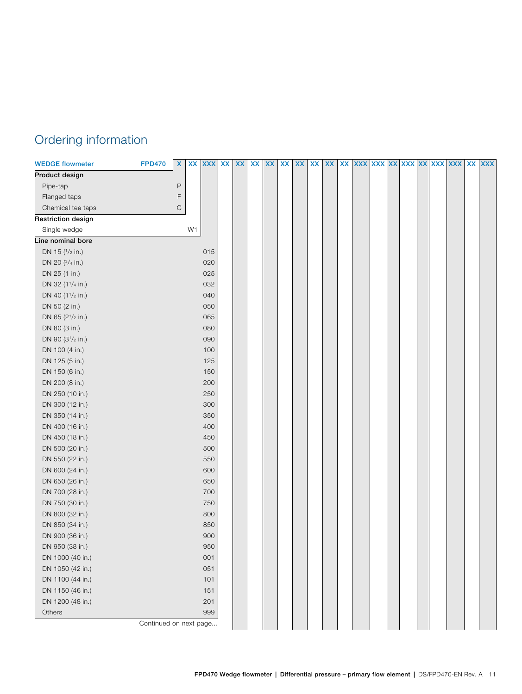### Ordering information

<span id="page-10-0"></span>

| <b>WEDGE flowmeter</b>                    | <b>FPD470</b>          | $\pmb{\mathsf{x}}$ |                | XX XXX XX XX |  | XX XX | XX | XX | $\pmb{\mathsf{XX}}$ | XX | xx xxx xxx xxx xxx xxx |  |  |  | XX XXX |
|-------------------------------------------|------------------------|--------------------|----------------|--------------|--|-------|----|----|---------------------|----|------------------------|--|--|--|--------|
| Product design                            |                        |                    |                |              |  |       |    |    |                     |    |                        |  |  |  |        |
| Pipe-tap                                  |                        | $\mathsf P$        |                |              |  |       |    |    |                     |    |                        |  |  |  |        |
| Flanged taps                              |                        | F                  |                |              |  |       |    |    |                     |    |                        |  |  |  |        |
| Chemical tee taps                         |                        | $\mathsf C$        |                |              |  |       |    |    |                     |    |                        |  |  |  |        |
| <b>Restriction design</b>                 |                        |                    |                |              |  |       |    |    |                     |    |                        |  |  |  |        |
| Single wedge                              |                        |                    | W <sub>1</sub> |              |  |       |    |    |                     |    |                        |  |  |  |        |
| Line nominal bore                         |                        |                    |                |              |  |       |    |    |                     |    |                        |  |  |  |        |
| DN 15 (1/2 in.)                           |                        |                    |                | 015          |  |       |    |    |                     |    |                        |  |  |  |        |
| DN 20 (3/4 in.)                           |                        |                    |                | 020          |  |       |    |    |                     |    |                        |  |  |  |        |
| DN 25 (1 in.)                             |                        |                    |                | 025          |  |       |    |    |                     |    |                        |  |  |  |        |
| DN 32 (1 <sup>1</sup> / <sub>4</sub> in.) |                        |                    |                | 032          |  |       |    |    |                     |    |                        |  |  |  |        |
| DN 40 (1 <sup>1</sup> /2 in.)             |                        |                    |                | 040          |  |       |    |    |                     |    |                        |  |  |  |        |
| DN 50 (2 in.)                             |                        |                    |                | 050          |  |       |    |    |                     |    |                        |  |  |  |        |
| DN 65 (2 <sup>1</sup> /2 in.)             |                        |                    |                | 065          |  |       |    |    |                     |    |                        |  |  |  |        |
| DN 80 (3 in.)                             |                        |                    |                | 080          |  |       |    |    |                     |    |                        |  |  |  |        |
| DN 90 (31/2 in.)                          |                        |                    |                | 090          |  |       |    |    |                     |    |                        |  |  |  |        |
| DN 100 (4 in.)                            |                        |                    |                | 100          |  |       |    |    |                     |    |                        |  |  |  |        |
| DN 125 (5 in.)                            |                        |                    |                | 125          |  |       |    |    |                     |    |                        |  |  |  |        |
| DN 150 (6 in.)                            |                        |                    |                | 150          |  |       |    |    |                     |    |                        |  |  |  |        |
| DN 200 (8 in.)                            |                        |                    |                | 200          |  |       |    |    |                     |    |                        |  |  |  |        |
| DN 250 (10 in.)                           |                        |                    |                | 250          |  |       |    |    |                     |    |                        |  |  |  |        |
| DN 300 (12 in.)                           |                        |                    |                | 300          |  |       |    |    |                     |    |                        |  |  |  |        |
| DN 350 (14 in.)                           |                        |                    |                | 350          |  |       |    |    |                     |    |                        |  |  |  |        |
| DN 400 (16 in.)                           |                        |                    |                | 400          |  |       |    |    |                     |    |                        |  |  |  |        |
| DN 450 (18 in.)                           |                        |                    |                | 450          |  |       |    |    |                     |    |                        |  |  |  |        |
| DN 500 (20 in.)                           |                        |                    |                | 500          |  |       |    |    |                     |    |                        |  |  |  |        |
| DN 550 (22 in.)                           |                        |                    |                | 550          |  |       |    |    |                     |    |                        |  |  |  |        |
| DN 600 (24 in.)                           |                        |                    |                | 600          |  |       |    |    |                     |    |                        |  |  |  |        |
| DN 650 (26 in.)                           |                        |                    |                | 650          |  |       |    |    |                     |    |                        |  |  |  |        |
| DN 700 (28 in.)                           |                        |                    |                | 700          |  |       |    |    |                     |    |                        |  |  |  |        |
| DN 750 (30 in.)                           |                        |                    |                | 750          |  |       |    |    |                     |    |                        |  |  |  |        |
| DN 800 (32 in.)                           |                        |                    |                | 800          |  |       |    |    |                     |    |                        |  |  |  |        |
| DN 850 (34 in.)                           |                        |                    |                | 850          |  |       |    |    |                     |    |                        |  |  |  |        |
| DN 900 (36 in.)                           |                        |                    |                | 900          |  |       |    |    |                     |    |                        |  |  |  |        |
| DN 950 (38 in.)                           |                        |                    |                | 950          |  |       |    |    |                     |    |                        |  |  |  |        |
| DN 1000 (40 in.)                          |                        |                    |                | 001          |  |       |    |    |                     |    |                        |  |  |  |        |
| DN 1050 (42 in.)                          |                        |                    |                | 051          |  |       |    |    |                     |    |                        |  |  |  |        |
| DN 1100 (44 in.)                          |                        |                    |                | 101          |  |       |    |    |                     |    |                        |  |  |  |        |
| DN 1150 (46 in.)                          |                        |                    |                | 151          |  |       |    |    |                     |    |                        |  |  |  |        |
| DN 1200 (48 in.)                          |                        |                    |                | 201          |  |       |    |    |                     |    |                        |  |  |  |        |
| Others                                    |                        |                    |                | 999          |  |       |    |    |                     |    |                        |  |  |  |        |
|                                           | Continued on next page |                    |                |              |  |       |    |    |                     |    |                        |  |  |  |        |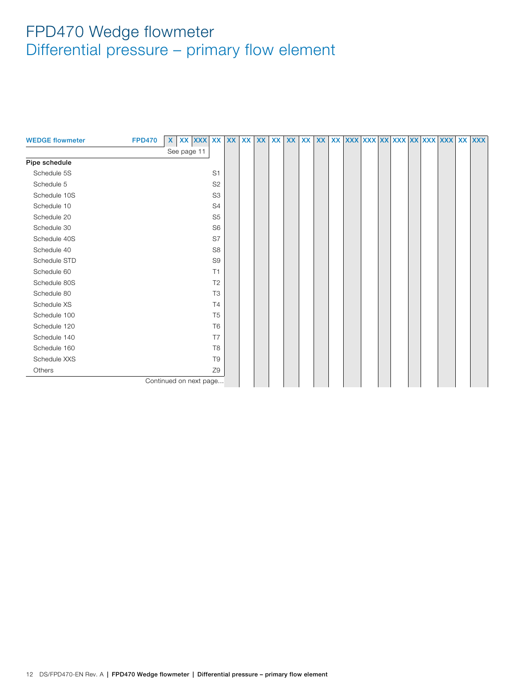<span id="page-11-0"></span>

| <b>WEDGE flowmeter</b> | <b>FPD470</b> | $\mathsf{X}$           | XX XXX XX |                | <b>XX</b> | <b>XX</b> | <b>XX</b> | <b>XX</b> | <b>XX</b> | XX | <b>XX</b> |  | XX XXX XXX XXX XXX XXX XXX |  |  | <b>XX</b> | <b>XXX</b> |
|------------------------|---------------|------------------------|-----------|----------------|-----------|-----------|-----------|-----------|-----------|----|-----------|--|----------------------------|--|--|-----------|------------|
|                        |               | See page 11            |           |                |           |           |           |           |           |    |           |  |                            |  |  |           |            |
| Pipe schedule          |               |                        |           |                |           |           |           |           |           |    |           |  |                            |  |  |           |            |
| Schedule 5S            |               |                        |           | S <sub>1</sub> |           |           |           |           |           |    |           |  |                            |  |  |           |            |
| Schedule 5             |               |                        |           | S <sub>2</sub> |           |           |           |           |           |    |           |  |                            |  |  |           |            |
| Schedule 10S           |               |                        |           | S <sub>3</sub> |           |           |           |           |           |    |           |  |                            |  |  |           |            |
| Schedule 10            |               |                        |           | S <sub>4</sub> |           |           |           |           |           |    |           |  |                            |  |  |           |            |
| Schedule 20            |               |                        |           | S <sub>5</sub> |           |           |           |           |           |    |           |  |                            |  |  |           |            |
| Schedule 30            |               |                        |           | S <sub>6</sub> |           |           |           |           |           |    |           |  |                            |  |  |           |            |
| Schedule 40S           |               |                        |           | S7             |           |           |           |           |           |    |           |  |                            |  |  |           |            |
| Schedule 40            |               |                        |           | S <sub>8</sub> |           |           |           |           |           |    |           |  |                            |  |  |           |            |
| Schedule STD           |               |                        |           | S <sub>9</sub> |           |           |           |           |           |    |           |  |                            |  |  |           |            |
| Schedule 60            |               |                        |           | T1             |           |           |           |           |           |    |           |  |                            |  |  |           |            |
| Schedule 80S           |               |                        |           | T <sub>2</sub> |           |           |           |           |           |    |           |  |                            |  |  |           |            |
| Schedule 80            |               |                        |           | T <sub>3</sub> |           |           |           |           |           |    |           |  |                            |  |  |           |            |
| Schedule XS            |               |                        |           | T <sub>4</sub> |           |           |           |           |           |    |           |  |                            |  |  |           |            |
| Schedule 100           |               |                        |           | T <sub>5</sub> |           |           |           |           |           |    |           |  |                            |  |  |           |            |
| Schedule 120           |               |                        |           | T <sub>6</sub> |           |           |           |           |           |    |           |  |                            |  |  |           |            |
| Schedule 140           |               |                        |           | T7             |           |           |           |           |           |    |           |  |                            |  |  |           |            |
| Schedule 160           |               |                        |           | T <sub>8</sub> |           |           |           |           |           |    |           |  |                            |  |  |           |            |
| Schedule XXS           |               |                        |           | T <sub>9</sub> |           |           |           |           |           |    |           |  |                            |  |  |           |            |
| Others                 |               |                        |           | Z9             |           |           |           |           |           |    |           |  |                            |  |  |           |            |
|                        |               | Continued on next page |           |                |           |           |           |           |           |    |           |  |                            |  |  |           |            |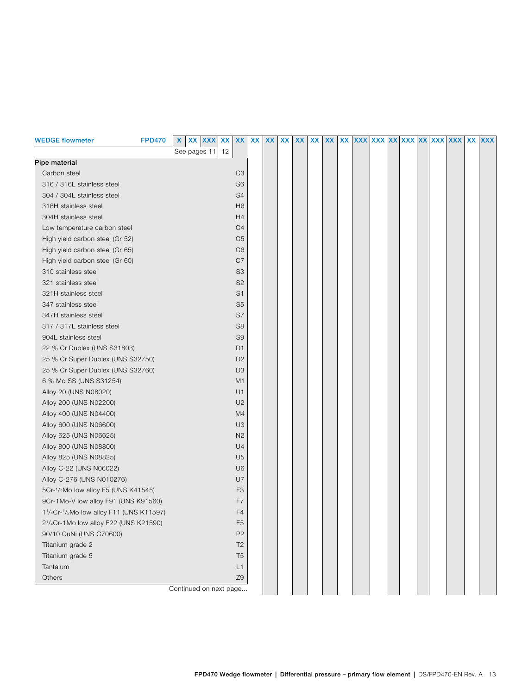<span id="page-12-0"></span>

| <b>WEDGE flowmeter</b>                                                                      | <b>FPD470</b> | X.<br>XX XXX XX        | XX             | XX | <b>XX</b> | XX | <b>XX</b> | <b>XX</b> | XX | XX XXX XXX XXX XXX XXX XXX XXX |  |  |  | XX XXX |
|---------------------------------------------------------------------------------------------|---------------|------------------------|----------------|----|-----------|----|-----------|-----------|----|--------------------------------|--|--|--|--------|
|                                                                                             |               | See pages 11<br>12     |                |    |           |    |           |           |    |                                |  |  |  |        |
| Pipe material                                                                               |               |                        |                |    |           |    |           |           |    |                                |  |  |  |        |
| Carbon steel                                                                                |               |                        | C <sub>3</sub> |    |           |    |           |           |    |                                |  |  |  |        |
| 316 / 316L stainless steel                                                                  |               |                        | S <sub>6</sub> |    |           |    |           |           |    |                                |  |  |  |        |
| 304 / 304L stainless steel                                                                  |               |                        | S4             |    |           |    |           |           |    |                                |  |  |  |        |
| 316H stainless steel                                                                        |               |                        | H <sub>6</sub> |    |           |    |           |           |    |                                |  |  |  |        |
| 304H stainless steel                                                                        |               |                        | H4             |    |           |    |           |           |    |                                |  |  |  |        |
| Low temperature carbon steel                                                                |               |                        | C <sub>4</sub> |    |           |    |           |           |    |                                |  |  |  |        |
| High yield carbon steel (Gr 52)                                                             |               |                        | C <sub>5</sub> |    |           |    |           |           |    |                                |  |  |  |        |
| High yield carbon steel (Gr 65)                                                             |               |                        | C <sub>6</sub> |    |           |    |           |           |    |                                |  |  |  |        |
| High yield carbon steel (Gr 60)                                                             |               |                        | C7             |    |           |    |           |           |    |                                |  |  |  |        |
| 310 stainless steel                                                                         |               |                        | S <sub>3</sub> |    |           |    |           |           |    |                                |  |  |  |        |
| 321 stainless steel                                                                         |               |                        | S <sub>2</sub> |    |           |    |           |           |    |                                |  |  |  |        |
| 321H stainless steel                                                                        |               |                        | S <sub>1</sub> |    |           |    |           |           |    |                                |  |  |  |        |
| 347 stainless steel                                                                         |               |                        | S <sub>5</sub> |    |           |    |           |           |    |                                |  |  |  |        |
| 347H stainless steel                                                                        |               |                        | S7             |    |           |    |           |           |    |                                |  |  |  |        |
| 317 / 317L stainless steel                                                                  |               |                        | S <sub>8</sub> |    |           |    |           |           |    |                                |  |  |  |        |
| 904L stainless steel                                                                        |               |                        | S <sub>9</sub> |    |           |    |           |           |    |                                |  |  |  |        |
| 22 % Cr Duplex (UNS S31803)                                                                 |               |                        | D <sub>1</sub> |    |           |    |           |           |    |                                |  |  |  |        |
| 25 % Cr Super Duplex (UNS S32750)                                                           |               |                        | D <sub>2</sub> |    |           |    |           |           |    |                                |  |  |  |        |
| 25 % Cr Super Duplex (UNS S32760)                                                           |               |                        | D <sub>3</sub> |    |           |    |           |           |    |                                |  |  |  |        |
| 6 % Mo SS (UNS S31254)                                                                      |               |                        | M1             |    |           |    |           |           |    |                                |  |  |  |        |
| Alloy 20 (UNS N08020)                                                                       |               |                        | U1             |    |           |    |           |           |    |                                |  |  |  |        |
| Alloy 200 (UNS N02200)                                                                      |               |                        | U <sub>2</sub> |    |           |    |           |           |    |                                |  |  |  |        |
| Alloy 400 (UNS N04400)                                                                      |               |                        | M4             |    |           |    |           |           |    |                                |  |  |  |        |
| Alloy 600 (UNS N06600)                                                                      |               |                        | U <sub>3</sub> |    |           |    |           |           |    |                                |  |  |  |        |
| Alloy 625 (UNS N06625)                                                                      |               |                        | N2             |    |           |    |           |           |    |                                |  |  |  |        |
| Alloy 800 (UNS N08800)                                                                      |               |                        | U <sub>4</sub> |    |           |    |           |           |    |                                |  |  |  |        |
| Alloy 825 (UNS N08825)                                                                      |               |                        | U <sub>5</sub> |    |           |    |           |           |    |                                |  |  |  |        |
| Alloy C-22 (UNS N06022)                                                                     |               |                        | U <sub>6</sub> |    |           |    |           |           |    |                                |  |  |  |        |
| Alloy C-276 (UNS N010276)                                                                   |               |                        | U7             |    |           |    |           |           |    |                                |  |  |  |        |
| 5Cr-1/2Mo low alloy F5 (UNS K41545)                                                         |               |                        | F <sub>3</sub> |    |           |    |           |           |    |                                |  |  |  |        |
| 9Cr-1Mo-V low alloy F91 (UNS K91560)                                                        |               |                        | F7             |    |           |    |           |           |    |                                |  |  |  |        |
| 1 <sup>1</sup> / <sub>4</sub> Cr- <sup>1</sup> / <sub>2</sub> Mo low alloy F11 (UNS K11597) |               |                        | F4             |    |           |    |           |           |    |                                |  |  |  |        |
| 2 <sup>1</sup> /4Cr-1Mo low alloy F22 (UNS K21590)                                          |               |                        | F <sub>5</sub> |    |           |    |           |           |    |                                |  |  |  |        |
| 90/10 CuNi (UNS C70600)                                                                     |               |                        | P <sub>2</sub> |    |           |    |           |           |    |                                |  |  |  |        |
| Titanium grade 2                                                                            |               |                        | T <sub>2</sub> |    |           |    |           |           |    |                                |  |  |  |        |
| Titanium grade 5                                                                            |               |                        | T <sub>5</sub> |    |           |    |           |           |    |                                |  |  |  |        |
| Tantalum                                                                                    |               |                        | L1             |    |           |    |           |           |    |                                |  |  |  |        |
| Others                                                                                      |               |                        | Z9             |    |           |    |           |           |    |                                |  |  |  |        |
|                                                                                             |               | Continued on next page |                |    |           |    |           |           |    |                                |  |  |  |        |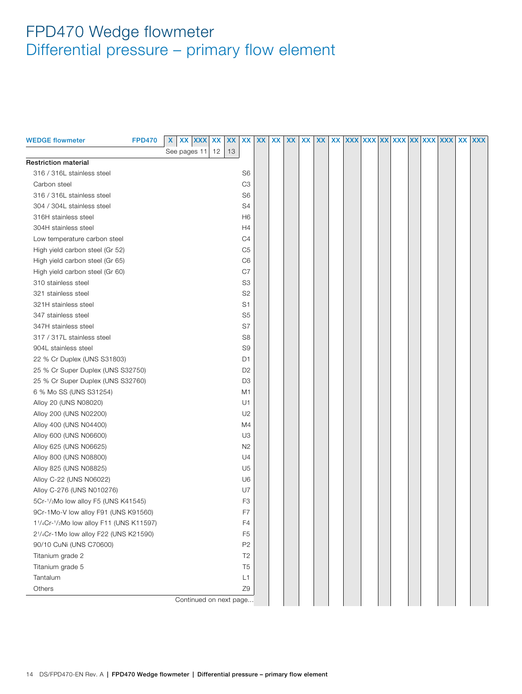<span id="page-13-0"></span>

| <b>WEDGE flowmeter</b>                  | <b>FPD470</b> | XX XXX XX<br>X         | <b>XX</b> | <b>XX</b>      | <b>XX</b> | <b>XX</b> | XX | XX | <b>XX</b> | XX. | XXX XXX XX XXX XXX XXX XXX |  |  |  | <b>XX</b> | <b>XXX</b> |
|-----------------------------------------|---------------|------------------------|-----------|----------------|-----------|-----------|----|----|-----------|-----|----------------------------|--|--|--|-----------|------------|
|                                         |               | See pages 11           | 12<br>13  |                |           |           |    |    |           |     |                            |  |  |  |           |            |
| <b>Restriction material</b>             |               |                        |           |                |           |           |    |    |           |     |                            |  |  |  |           |            |
| 316 / 316L stainless steel              |               |                        |           | S <sub>6</sub> |           |           |    |    |           |     |                            |  |  |  |           |            |
| Carbon steel                            |               |                        |           | C <sub>3</sub> |           |           |    |    |           |     |                            |  |  |  |           |            |
| 316 / 316L stainless steel              |               |                        |           | S <sub>6</sub> |           |           |    |    |           |     |                            |  |  |  |           |            |
| 304 / 304L stainless steel              |               |                        |           | S4             |           |           |    |    |           |     |                            |  |  |  |           |            |
| 316H stainless steel                    |               |                        |           | H6             |           |           |    |    |           |     |                            |  |  |  |           |            |
| 304H stainless steel                    |               |                        |           | H4             |           |           |    |    |           |     |                            |  |  |  |           |            |
| Low temperature carbon steel            |               |                        |           | C4             |           |           |    |    |           |     |                            |  |  |  |           |            |
| High yield carbon steel (Gr 52)         |               |                        |           | C5             |           |           |    |    |           |     |                            |  |  |  |           |            |
| High yield carbon steel (Gr 65)         |               |                        |           | C6             |           |           |    |    |           |     |                            |  |  |  |           |            |
| High yield carbon steel (Gr 60)         |               |                        |           | C7             |           |           |    |    |           |     |                            |  |  |  |           |            |
| 310 stainless steel                     |               |                        |           | S <sub>3</sub> |           |           |    |    |           |     |                            |  |  |  |           |            |
| 321 stainless steel                     |               |                        |           | S <sub>2</sub> |           |           |    |    |           |     |                            |  |  |  |           |            |
| 321H stainless steel                    |               |                        |           | S <sub>1</sub> |           |           |    |    |           |     |                            |  |  |  |           |            |
| 347 stainless steel                     |               |                        |           | S <sub>5</sub> |           |           |    |    |           |     |                            |  |  |  |           |            |
| 347H stainless steel                    |               |                        |           | S7             |           |           |    |    |           |     |                            |  |  |  |           |            |
| 317 / 317L stainless steel              |               |                        |           | S <sub>8</sub> |           |           |    |    |           |     |                            |  |  |  |           |            |
| 904L stainless steel                    |               |                        |           | S <sub>9</sub> |           |           |    |    |           |     |                            |  |  |  |           |            |
| 22 % Cr Duplex (UNS S31803)             |               |                        |           | D <sub>1</sub> |           |           |    |    |           |     |                            |  |  |  |           |            |
| 25 % Cr Super Duplex (UNS S32750)       |               |                        |           | D <sub>2</sub> |           |           |    |    |           |     |                            |  |  |  |           |            |
| 25 % Cr Super Duplex (UNS S32760)       |               |                        |           | D <sub>3</sub> |           |           |    |    |           |     |                            |  |  |  |           |            |
| 6 % Mo SS (UNS S31254)                  |               |                        |           | M1             |           |           |    |    |           |     |                            |  |  |  |           |            |
| Alloy 20 (UNS N08020)                   |               |                        |           | U1             |           |           |    |    |           |     |                            |  |  |  |           |            |
| Alloy 200 (UNS N02200)                  |               |                        |           | U <sub>2</sub> |           |           |    |    |           |     |                            |  |  |  |           |            |
| Alloy 400 (UNS N04400)                  |               |                        |           | M4             |           |           |    |    |           |     |                            |  |  |  |           |            |
| Alloy 600 (UNS N06600)                  |               |                        |           | U <sub>3</sub> |           |           |    |    |           |     |                            |  |  |  |           |            |
| Alloy 625 (UNS N06625)                  |               |                        |           | N <sub>2</sub> |           |           |    |    |           |     |                            |  |  |  |           |            |
| Alloy 800 (UNS N08800)                  |               |                        |           | U4             |           |           |    |    |           |     |                            |  |  |  |           |            |
| Alloy 825 (UNS N08825)                  |               |                        |           | U <sub>5</sub> |           |           |    |    |           |     |                            |  |  |  |           |            |
| Alloy C-22 (UNS N06022)                 |               |                        |           | U6             |           |           |    |    |           |     |                            |  |  |  |           |            |
| Alloy C-276 (UNS N010276)               |               |                        |           | U7             |           |           |    |    |           |     |                            |  |  |  |           |            |
| 5Cr-1/2Mo low alloy F5 (UNS K41545)     |               |                        |           | F <sub>3</sub> |           |           |    |    |           |     |                            |  |  |  |           |            |
| 9Cr-1Mo-V low alloy F91 (UNS K91560)    |               |                        |           | F7             |           |           |    |    |           |     |                            |  |  |  |           |            |
| 11/4Cr-1/2Mo low alloy F11 (UNS K11597) |               |                        |           | F4             |           |           |    |    |           |     |                            |  |  |  |           |            |
| 21/4Cr-1Mo low alloy F22 (UNS K21590)   |               |                        |           | F <sub>5</sub> |           |           |    |    |           |     |                            |  |  |  |           |            |
| 90/10 CuNi (UNS C70600)                 |               |                        |           | P <sub>2</sub> |           |           |    |    |           |     |                            |  |  |  |           |            |
| Titanium grade 2                        |               |                        |           | T <sub>2</sub> |           |           |    |    |           |     |                            |  |  |  |           |            |
| Titanium grade 5                        |               |                        |           | T <sub>5</sub> |           |           |    |    |           |     |                            |  |  |  |           |            |
| Tantalum                                |               |                        |           | L1             |           |           |    |    |           |     |                            |  |  |  |           |            |
| Others                                  |               |                        |           | Z9             |           |           |    |    |           |     |                            |  |  |  |           |            |
|                                         |               | Continued on next page |           |                |           |           |    |    |           |     |                            |  |  |  |           |            |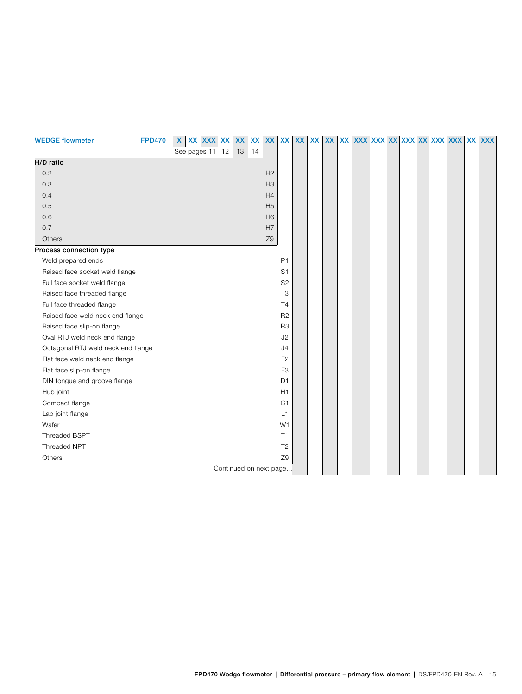<span id="page-14-0"></span>

| <b>WEDGE flowmeter</b>             | <b>FPD470</b> | XX XXX<br>X     | <b>XX</b> | XX                     | <b>XX</b> | <b>XX</b>      | XX             | <b>XX</b> | <b>XX</b> | <b>XX</b> | <b>XX</b> | <b>XXX</b> |  | XXX XX XXX XX XXX |  | <b>XXX</b> | XX | <b>XXX</b> |
|------------------------------------|---------------|-----------------|-----------|------------------------|-----------|----------------|----------------|-----------|-----------|-----------|-----------|------------|--|-------------------|--|------------|----|------------|
|                                    |               | See pages 11 12 |           | 13                     | 14        |                |                |           |           |           |           |            |  |                   |  |            |    |            |
| H/D ratio                          |               |                 |           |                        |           |                |                |           |           |           |           |            |  |                   |  |            |    |            |
| 0.2                                |               |                 |           |                        |           | H <sub>2</sub> |                |           |           |           |           |            |  |                   |  |            |    |            |
| 0.3                                |               |                 |           |                        |           | H <sub>3</sub> |                |           |           |           |           |            |  |                   |  |            |    |            |
| 0.4                                |               |                 |           |                        |           | H4             |                |           |           |           |           |            |  |                   |  |            |    |            |
| 0.5                                |               |                 |           |                        |           | H <sub>5</sub> |                |           |           |           |           |            |  |                   |  |            |    |            |
| 0.6                                |               |                 |           |                        |           | H <sub>6</sub> |                |           |           |           |           |            |  |                   |  |            |    |            |
| 0.7                                |               |                 |           |                        |           | H7             |                |           |           |           |           |            |  |                   |  |            |    |            |
| Others                             |               |                 |           |                        |           | Z9             |                |           |           |           |           |            |  |                   |  |            |    |            |
| Process connection type            |               |                 |           |                        |           |                |                |           |           |           |           |            |  |                   |  |            |    |            |
| Weld prepared ends                 |               |                 |           |                        |           |                | P <sub>1</sub> |           |           |           |           |            |  |                   |  |            |    |            |
| Raised face socket weld flange     |               |                 |           |                        |           |                | S <sub>1</sub> |           |           |           |           |            |  |                   |  |            |    |            |
| Full face socket weld flange       |               |                 |           |                        |           |                | S <sub>2</sub> |           |           |           |           |            |  |                   |  |            |    |            |
| Raised face threaded flange        |               |                 |           |                        |           |                | T <sub>3</sub> |           |           |           |           |            |  |                   |  |            |    |            |
| Full face threaded flange          |               |                 |           |                        |           |                | <b>T4</b>      |           |           |           |           |            |  |                   |  |            |    |            |
| Raised face weld neck end flange   |               |                 |           |                        |           |                | R <sub>2</sub> |           |           |           |           |            |  |                   |  |            |    |            |
| Raised face slip-on flange         |               |                 |           |                        |           |                | R <sub>3</sub> |           |           |           |           |            |  |                   |  |            |    |            |
| Oval RTJ weld neck end flange      |               |                 |           |                        |           |                | J2             |           |           |           |           |            |  |                   |  |            |    |            |
| Octagonal RTJ weld neck end flange |               |                 |           |                        |           |                | J <sub>4</sub> |           |           |           |           |            |  |                   |  |            |    |            |
| Flat face weld neck end flange     |               |                 |           |                        |           |                | F <sub>2</sub> |           |           |           |           |            |  |                   |  |            |    |            |
| Flat face slip-on flange           |               |                 |           |                        |           |                | F <sub>3</sub> |           |           |           |           |            |  |                   |  |            |    |            |
| DIN tongue and groove flange       |               |                 |           |                        |           |                | D <sub>1</sub> |           |           |           |           |            |  |                   |  |            |    |            |
| Hub joint                          |               |                 |           |                        |           |                | H1             |           |           |           |           |            |  |                   |  |            |    |            |
| Compact flange                     |               |                 |           |                        |           |                | C <sub>1</sub> |           |           |           |           |            |  |                   |  |            |    |            |
| Lap joint flange                   |               |                 |           |                        |           |                | L1             |           |           |           |           |            |  |                   |  |            |    |            |
| Wafer                              |               |                 |           |                        |           |                | W <sub>1</sub> |           |           |           |           |            |  |                   |  |            |    |            |
| Threaded BSPT                      |               |                 |           |                        |           |                | T1             |           |           |           |           |            |  |                   |  |            |    |            |
| Threaded NPT                       |               |                 |           |                        |           |                | T <sub>2</sub> |           |           |           |           |            |  |                   |  |            |    |            |
| Others                             |               |                 |           |                        |           |                | Z9             |           |           |           |           |            |  |                   |  |            |    |            |
|                                    |               |                 |           | Continued on next page |           |                |                |           |           |           |           |            |  |                   |  |            |    |            |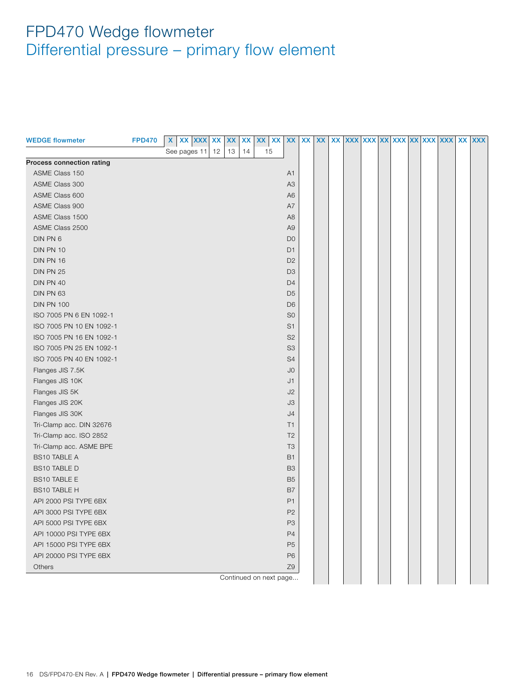<span id="page-15-0"></span>

| <b>WEDGE flowmeter</b>    | <b>FPD470</b> | X            | XX XXX | XX | XX | XX | XX | <b>XX</b>              | XX             | XX | XX | <b>XX</b> |  |  |  | XXX XXX XX XXX XXX XXX XXX | XX XXX |
|---------------------------|---------------|--------------|--------|----|----|----|----|------------------------|----------------|----|----|-----------|--|--|--|----------------------------|--------|
|                           |               | See pages 11 |        | 12 | 13 | 14 | 15 |                        |                |    |    |           |  |  |  |                            |        |
| Process connection rating |               |              |        |    |    |    |    |                        |                |    |    |           |  |  |  |                            |        |
| ASME Class 150            |               |              |        |    |    |    |    |                        | A1             |    |    |           |  |  |  |                            |        |
| ASME Class 300            |               |              |        |    |    |    |    |                        | A <sub>3</sub> |    |    |           |  |  |  |                            |        |
| ASME Class 600            |               |              |        |    |    |    |    |                        | A <sub>6</sub> |    |    |           |  |  |  |                            |        |
| ASME Class 900            |               |              |        |    |    |    |    |                        | A7             |    |    |           |  |  |  |                            |        |
| ASME Class 1500           |               |              |        |    |    |    |    |                        | A <sub>8</sub> |    |    |           |  |  |  |                            |        |
| ASME Class 2500           |               |              |        |    |    |    |    |                        | A <sub>9</sub> |    |    |           |  |  |  |                            |        |
| DIN PN 6                  |               |              |        |    |    |    |    |                        | D <sub>0</sub> |    |    |           |  |  |  |                            |        |
| DIN PN 10                 |               |              |        |    |    |    |    |                        | D <sub>1</sub> |    |    |           |  |  |  |                            |        |
| DIN PN 16                 |               |              |        |    |    |    |    |                        | D <sub>2</sub> |    |    |           |  |  |  |                            |        |
| DIN PN 25                 |               |              |        |    |    |    |    |                        | D <sub>3</sub> |    |    |           |  |  |  |                            |        |
| DIN PN 40                 |               |              |        |    |    |    |    |                        | D <sub>4</sub> |    |    |           |  |  |  |                            |        |
| DIN PN 63                 |               |              |        |    |    |    |    |                        | D <sub>5</sub> |    |    |           |  |  |  |                            |        |
| <b>DIN PN 100</b>         |               |              |        |    |    |    |    |                        | D <sub>6</sub> |    |    |           |  |  |  |                            |        |
| ISO 7005 PN 6 EN 1092-1   |               |              |        |    |    |    |    |                        | S <sub>0</sub> |    |    |           |  |  |  |                            |        |
| ISO 7005 PN 10 EN 1092-1  |               |              |        |    |    |    |    |                        | S <sub>1</sub> |    |    |           |  |  |  |                            |        |
| ISO 7005 PN 16 EN 1092-1  |               |              |        |    |    |    |    |                        | S <sub>2</sub> |    |    |           |  |  |  |                            |        |
| ISO 7005 PN 25 EN 1092-1  |               |              |        |    |    |    |    |                        | S <sub>3</sub> |    |    |           |  |  |  |                            |        |
| ISO 7005 PN 40 EN 1092-1  |               |              |        |    |    |    |    |                        | S4             |    |    |           |  |  |  |                            |        |
| Flanges JIS 7.5K          |               |              |        |    |    |    |    |                        | J <sub>0</sub> |    |    |           |  |  |  |                            |        |
| Flanges JIS 10K           |               |              |        |    |    |    |    |                        | J1             |    |    |           |  |  |  |                            |        |
| Flanges JIS 5K            |               |              |        |    |    |    |    |                        | J2             |    |    |           |  |  |  |                            |        |
| Flanges JIS 20K           |               |              |        |    |    |    |    |                        | J3             |    |    |           |  |  |  |                            |        |
| Flanges JIS 30K           |               |              |        |    |    |    |    |                        | J4             |    |    |           |  |  |  |                            |        |
| Tri-Clamp acc. DIN 32676  |               |              |        |    |    |    |    |                        | T1             |    |    |           |  |  |  |                            |        |
| Tri-Clamp acc. ISO 2852   |               |              |        |    |    |    |    |                        | T <sub>2</sub> |    |    |           |  |  |  |                            |        |
| Tri-Clamp acc. ASME BPE   |               |              |        |    |    |    |    |                        | T <sub>3</sub> |    |    |           |  |  |  |                            |        |
| <b>BS10 TABLE A</b>       |               |              |        |    |    |    |    |                        | <b>B1</b>      |    |    |           |  |  |  |                            |        |
| <b>BS10 TABLE D</b>       |               |              |        |    |    |    |    |                        | B <sub>3</sub> |    |    |           |  |  |  |                            |        |
| <b>BS10 TABLE E</b>       |               |              |        |    |    |    |    |                        | B <sub>5</sub> |    |    |           |  |  |  |                            |        |
| <b>BS10 TABLE H</b>       |               |              |        |    |    |    |    |                        | B7             |    |    |           |  |  |  |                            |        |
| API 2000 PSI TYPE 6BX     |               |              |        |    |    |    |    |                        | P <sub>1</sub> |    |    |           |  |  |  |                            |        |
| API 3000 PSI TYPE 6BX     |               |              |        |    |    |    |    |                        | P <sub>2</sub> |    |    |           |  |  |  |                            |        |
| API 5000 PSI TYPE 6BX     |               |              |        |    |    |    |    |                        | P <sub>3</sub> |    |    |           |  |  |  |                            |        |
| API 10000 PSI TYPE 6BX    |               |              |        |    |    |    |    |                        | P <sub>4</sub> |    |    |           |  |  |  |                            |        |
| API 15000 PSI TYPE 6BX    |               |              |        |    |    |    |    |                        | P <sub>5</sub> |    |    |           |  |  |  |                            |        |
| API 20000 PSI TYPE 6BX    |               |              |        |    |    |    |    |                        | P <sub>6</sub> |    |    |           |  |  |  |                            |        |
| Others                    |               |              |        |    |    |    |    |                        | Z <sub>9</sub> |    |    |           |  |  |  |                            |        |
|                           |               |              |        |    |    |    |    | Continued on next page |                |    |    |           |  |  |  |                            |        |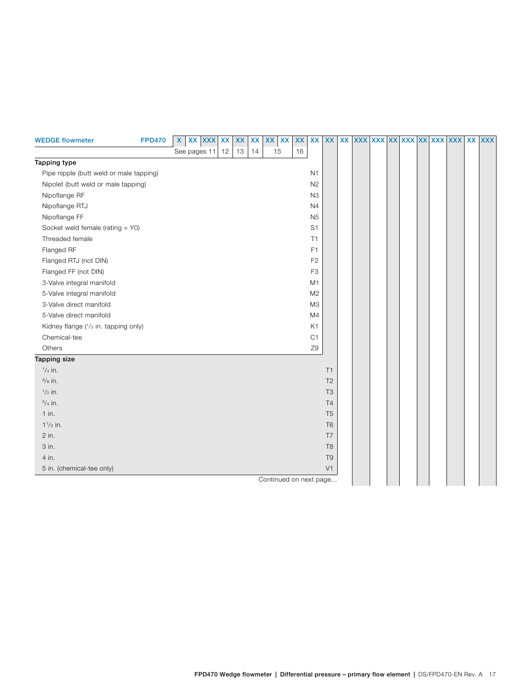<span id="page-16-0"></span>

| <b>WEDGE flowmeter</b>                  | <b>FPD470</b> | $\mathsf{X}$ | XX XXX XX |    | $\pmb{\mathsf{XX}}$ | <b>XX</b> | XX                     | XX | XX | XX             | <b>XX</b>      | xx xxx xxx xxx xxx xxx |  |  |  | XX XXX |
|-----------------------------------------|---------------|--------------|-----------|----|---------------------|-----------|------------------------|----|----|----------------|----------------|------------------------|--|--|--|--------|
|                                         |               | See pages 11 |           | 12 | 13                  | 14        | 15                     |    | 16 |                |                |                        |  |  |  |        |
| Tapping type                            |               |              |           |    |                     |           |                        |    |    |                |                |                        |  |  |  |        |
| Pipe nipple (butt weld or male tapping) |               |              |           |    |                     |           |                        |    |    | N1             |                |                        |  |  |  |        |
| Nipolet (butt weld or male tapping)     |               |              |           |    |                     |           |                        |    |    | N2             |                |                        |  |  |  |        |
| Nipoflange RF                           |               |              |           |    |                     |           |                        |    |    | N3             |                |                        |  |  |  |        |
| Nipoflange RTJ                          |               |              |           |    |                     |           |                        |    |    | N <sub>4</sub> |                |                        |  |  |  |        |
| Nipoflange FF                           |               |              |           |    |                     |           |                        |    |    | <b>N5</b>      |                |                        |  |  |  |        |
| Socket weld female (rating = Y0)        |               |              |           |    |                     |           |                        |    |    | S <sub>1</sub> |                |                        |  |  |  |        |
| Threaded female                         |               |              |           |    |                     |           |                        |    |    | T1             |                |                        |  |  |  |        |
| Flanged RF                              |               |              |           |    |                     |           |                        |    |    | F <sub>1</sub> |                |                        |  |  |  |        |
| Flanged RTJ (not DIN)                   |               |              |           |    |                     |           |                        |    |    | F <sub>2</sub> |                |                        |  |  |  |        |
| Flanged FF (not DIN)                    |               |              |           |    |                     |           |                        |    |    | F <sub>3</sub> |                |                        |  |  |  |        |
| 3-Valve integral manifold               |               |              |           |    |                     |           |                        |    |    | M <sub>1</sub> |                |                        |  |  |  |        |
| 5-Valve integral manifold               |               |              |           |    |                     |           |                        |    |    | M <sub>2</sub> |                |                        |  |  |  |        |
| 3-Valve direct manifold                 |               |              |           |    |                     |           |                        |    |    | M3             |                |                        |  |  |  |        |
| 5-Valve direct manifold                 |               |              |           |    |                     |           |                        |    |    | M <sub>4</sub> |                |                        |  |  |  |        |
| Kidney flange (1/2 in. tapping only)    |               |              |           |    |                     |           |                        |    |    | K1             |                |                        |  |  |  |        |
| Chemical-tee                            |               |              |           |    |                     |           |                        |    |    | C1             |                |                        |  |  |  |        |
| Others                                  |               |              |           |    |                     |           |                        |    |    | Z9             |                |                        |  |  |  |        |
| Tapping size                            |               |              |           |    |                     |           |                        |    |    |                |                |                        |  |  |  |        |
| $1/4$ in.                               |               |              |           |    |                     |           |                        |    |    |                | T1             |                        |  |  |  |        |
| $\frac{3}{8}$ in.                       |               |              |           |    |                     |           |                        |    |    |                | T <sub>2</sub> |                        |  |  |  |        |
| $1/2$ in.                               |               |              |           |    |                     |           |                        |    |    |                | T <sub>3</sub> |                        |  |  |  |        |
| $3/4$ in.                               |               |              |           |    |                     |           |                        |    |    |                | T <sub>4</sub> |                        |  |  |  |        |
| $1$ in.                                 |               |              |           |    |                     |           |                        |    |    |                | T <sub>5</sub> |                        |  |  |  |        |
| $1^{1/2}$ in.                           |               |              |           |    |                     |           |                        |    |    |                | T <sub>6</sub> |                        |  |  |  |        |
| 2 in.                                   |               |              |           |    |                     |           |                        |    |    |                | T <sub>7</sub> |                        |  |  |  |        |
| 3 in.                                   |               |              |           |    |                     |           |                        |    |    |                | T <sub>8</sub> |                        |  |  |  |        |
| 4 in.                                   |               |              |           |    |                     |           |                        |    |    |                | T <sub>9</sub> |                        |  |  |  |        |
| 5 in. (chemical-tee only)               |               |              |           |    |                     |           |                        |    |    |                | V1             |                        |  |  |  |        |
|                                         |               |              |           |    |                     |           | Continued on next page |    |    |                |                |                        |  |  |  |        |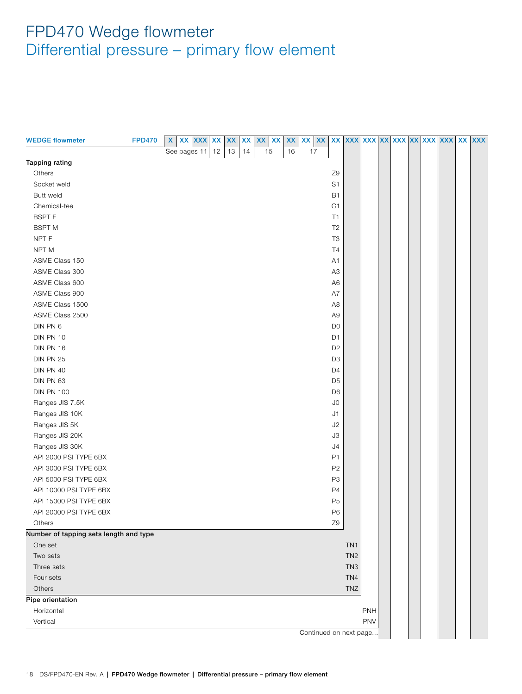<span id="page-17-0"></span>

| <b>WEDGE flowmeter</b>                 | <b>FPD470</b> | $\boldsymbol{\mathsf{X}}$ | XX XXX XX    |    | $\pmb{\mathsf{XX}}$ | <b>XX</b> | XX<br>XX | XX | xx   xx   xx   xxx   xxx   xxx   xxx   xxx   xxx   xxx   xxx   xxx |                |                 |            |  |  |  |  |
|----------------------------------------|---------------|---------------------------|--------------|----|---------------------|-----------|----------|----|--------------------------------------------------------------------|----------------|-----------------|------------|--|--|--|--|
|                                        |               |                           | See pages 11 | 12 | 13                  | 14        | 15       | 16 | 17                                                                 |                |                 |            |  |  |  |  |
| Tapping rating                         |               |                           |              |    |                     |           |          |    |                                                                    |                |                 |            |  |  |  |  |
| Others                                 |               |                           |              |    |                     |           |          |    |                                                                    | Z <sub>9</sub> |                 |            |  |  |  |  |
| Socket weld                            |               |                           |              |    |                     |           |          |    |                                                                    | S <sub>1</sub> |                 |            |  |  |  |  |
| Butt weld                              |               |                           |              |    |                     |           |          |    |                                                                    | <b>B1</b>      |                 |            |  |  |  |  |
| Chemical-tee                           |               |                           |              |    |                     |           |          |    |                                                                    | C <sub>1</sub> |                 |            |  |  |  |  |
| <b>BSPTF</b>                           |               |                           |              |    |                     |           |          |    |                                                                    | T1             |                 |            |  |  |  |  |
| <b>BSPT M</b>                          |               |                           |              |    |                     |           |          |    |                                                                    | T <sub>2</sub> |                 |            |  |  |  |  |
| NPT F                                  |               |                           |              |    |                     |           |          |    |                                                                    | T <sub>3</sub> |                 |            |  |  |  |  |
| NPT <sub>M</sub>                       |               |                           |              |    |                     |           |          |    |                                                                    | T4             |                 |            |  |  |  |  |
| ASME Class 150                         |               |                           |              |    |                     |           |          |    |                                                                    | A <sub>1</sub> |                 |            |  |  |  |  |
| ASME Class 300                         |               |                           |              |    |                     |           |          |    |                                                                    | A <sub>3</sub> |                 |            |  |  |  |  |
| ASME Class 600                         |               |                           |              |    |                     |           |          |    |                                                                    | A <sub>6</sub> |                 |            |  |  |  |  |
| ASME Class 900                         |               |                           |              |    |                     |           |          |    |                                                                    | A7             |                 |            |  |  |  |  |
| ASME Class 1500                        |               |                           |              |    |                     |           |          |    |                                                                    | A8             |                 |            |  |  |  |  |
| ASME Class 2500                        |               |                           |              |    |                     |           |          |    |                                                                    | A <sub>9</sub> |                 |            |  |  |  |  |
| DIN PN 6                               |               |                           |              |    |                     |           |          |    |                                                                    | D <sub>0</sub> |                 |            |  |  |  |  |
| DIN PN 10                              |               |                           |              |    |                     |           |          |    |                                                                    | D <sub>1</sub> |                 |            |  |  |  |  |
| DIN PN 16                              |               |                           |              |    |                     |           |          |    |                                                                    | D <sub>2</sub> |                 |            |  |  |  |  |
| <b>DIN PN 25</b>                       |               |                           |              |    |                     |           |          |    |                                                                    | D <sub>3</sub> |                 |            |  |  |  |  |
| DIN PN 40                              |               |                           |              |    |                     |           |          |    |                                                                    | D <sub>4</sub> |                 |            |  |  |  |  |
| DIN PN 63                              |               |                           |              |    |                     |           |          |    |                                                                    | D <sub>5</sub> |                 |            |  |  |  |  |
| <b>DIN PN 100</b>                      |               |                           |              |    |                     |           |          |    |                                                                    | D <sub>6</sub> |                 |            |  |  |  |  |
| Flanges JIS 7.5K                       |               |                           |              |    |                     |           |          |    |                                                                    | J <sub>0</sub> |                 |            |  |  |  |  |
| Flanges JIS 10K                        |               |                           |              |    |                     |           |          |    |                                                                    | J1             |                 |            |  |  |  |  |
| Flanges JIS 5K                         |               |                           |              |    |                     |           |          |    |                                                                    | J2             |                 |            |  |  |  |  |
| Flanges JIS 20K                        |               |                           |              |    |                     |           |          |    |                                                                    | J3             |                 |            |  |  |  |  |
| Flanges JIS 30K                        |               |                           |              |    |                     |           |          |    |                                                                    | J4             |                 |            |  |  |  |  |
| API 2000 PSI TYPE 6BX                  |               |                           |              |    |                     |           |          |    |                                                                    | P1             |                 |            |  |  |  |  |
| API 3000 PSI TYPE 6BX                  |               |                           |              |    |                     |           |          |    |                                                                    | P <sub>2</sub> |                 |            |  |  |  |  |
| API 5000 PSI TYPE 6BX                  |               |                           |              |    |                     |           |          |    |                                                                    | P <sub>3</sub> |                 |            |  |  |  |  |
| API 10000 PSI TYPE 6BX                 |               |                           |              |    |                     |           |          |    |                                                                    | P4             |                 |            |  |  |  |  |
| API 15000 PSI TYPE 6BX                 |               |                           |              |    |                     |           |          |    |                                                                    | P <sub>5</sub> |                 |            |  |  |  |  |
| API 20000 PSI TYPE 6BX                 |               |                           |              |    |                     |           |          |    |                                                                    | P <sub>6</sub> |                 |            |  |  |  |  |
| <b>Others</b>                          |               |                           |              |    |                     |           |          |    |                                                                    | Z9             |                 |            |  |  |  |  |
| Number of tapping sets length and type |               |                           |              |    |                     |           |          |    |                                                                    |                |                 |            |  |  |  |  |
| One set                                |               |                           |              |    |                     |           |          |    |                                                                    |                | TN <sub>1</sub> |            |  |  |  |  |
| Two sets                               |               |                           |              |    |                     |           |          |    |                                                                    |                | TN <sub>2</sub> |            |  |  |  |  |
| Three sets                             |               |                           |              |    |                     |           |          |    |                                                                    |                | TN <sub>3</sub> |            |  |  |  |  |
| Four sets                              |               |                           |              |    |                     |           |          |    |                                                                    |                | TN4             |            |  |  |  |  |
| Others                                 |               |                           |              |    |                     |           |          |    |                                                                    |                | TNZ             |            |  |  |  |  |
| Pipe orientation                       |               |                           |              |    |                     |           |          |    |                                                                    |                |                 |            |  |  |  |  |
| Horizontal                             |               |                           |              |    |                     |           |          |    |                                                                    |                |                 | PNH        |  |  |  |  |
| Vertical                               |               |                           |              |    |                     |           |          |    |                                                                    |                |                 | <b>PNV</b> |  |  |  |  |
|                                        |               |                           |              |    |                     |           |          |    | Continued on next page                                             |                |                 |            |  |  |  |  |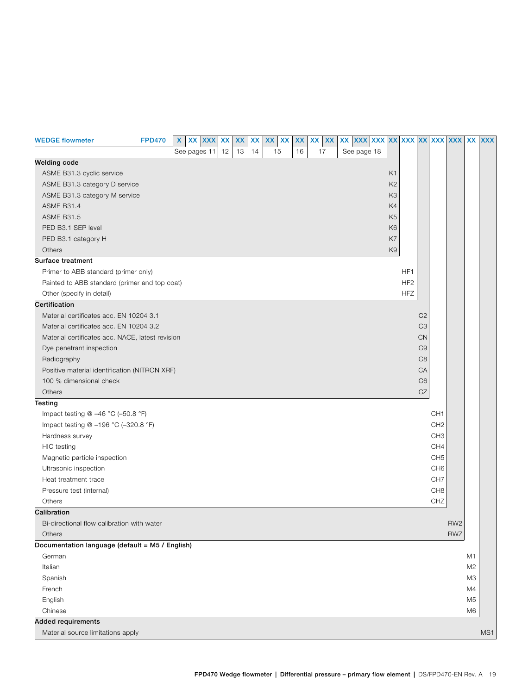| <b>WEDGE flowmeter</b>                           | <b>FPD470</b> | X | XX XXX       | <b>XX</b> | XX<br>XX | XX XX | XX | <b>XX</b><br>XX | xx xxx xxx xxx xxx xxx |                |                 |                |                 |                 |                | XX XXX |
|--------------------------------------------------|---------------|---|--------------|-----------|----------|-------|----|-----------------|------------------------|----------------|-----------------|----------------|-----------------|-----------------|----------------|--------|
|                                                  |               |   | See pages 11 | 12        | 13<br>14 | 15    | 16 | 17              | See page 18            |                |                 |                |                 |                 |                |        |
| <b>Welding code</b>                              |               |   |              |           |          |       |    |                 |                        |                |                 |                |                 |                 |                |        |
| ASME B31.3 cyclic service                        |               |   |              |           |          |       |    |                 |                        | K <sub>1</sub> |                 |                |                 |                 |                |        |
| ASME B31.3 category D service                    |               |   |              |           |          |       |    |                 |                        | K <sub>2</sub> |                 |                |                 |                 |                |        |
| ASME B31.3 category M service                    |               |   |              |           |          |       |    |                 |                        | K <sub>3</sub> |                 |                |                 |                 |                |        |
| <b>ASME B31.4</b>                                |               |   |              |           |          |       |    |                 |                        | K4             |                 |                |                 |                 |                |        |
| <b>ASME B31.5</b>                                |               |   |              |           |          |       |    |                 |                        | K <sub>5</sub> |                 |                |                 |                 |                |        |
| PED B3.1 SEP level                               |               |   |              |           |          |       |    |                 |                        | K <sub>6</sub> |                 |                |                 |                 |                |        |
| PED B3.1 category H                              |               |   |              |           |          |       |    |                 |                        | K7             |                 |                |                 |                 |                |        |
| Others                                           |               |   |              |           |          |       |    |                 |                        | K <sub>9</sub> |                 |                |                 |                 |                |        |
| Surface treatment                                |               |   |              |           |          |       |    |                 |                        |                |                 |                |                 |                 |                |        |
| Primer to ABB standard (primer only)             |               |   |              |           |          |       |    |                 |                        |                | HF1             |                |                 |                 |                |        |
| Painted to ABB standard (primer and top coat)    |               |   |              |           |          |       |    |                 |                        |                | HF <sub>2</sub> |                |                 |                 |                |        |
| Other (specify in detail)                        |               |   |              |           |          |       |    |                 |                        |                | <b>HFZ</b>      |                |                 |                 |                |        |
| Certification                                    |               |   |              |           |          |       |    |                 |                        |                |                 |                |                 |                 |                |        |
| Material certificates acc. EN 10204 3.1          |               |   |              |           |          |       |    |                 |                        |                |                 | C <sub>2</sub> |                 |                 |                |        |
| Material certificates acc. EN 10204 3.2          |               |   |              |           |          |       |    |                 |                        |                |                 | C <sub>3</sub> |                 |                 |                |        |
| Material certificates acc. NACE, latest revision |               |   |              |           |          |       |    |                 |                        |                |                 | CN             |                 |                 |                |        |
| Dye penetrant inspection                         |               |   |              |           |          |       |    |                 |                        |                |                 | C <sub>9</sub> |                 |                 |                |        |
| Radiography                                      |               |   |              |           |          |       |    |                 |                        |                |                 | C <sub>8</sub> |                 |                 |                |        |
| Positive material identification (NITRON XRF)    |               |   |              |           |          |       |    |                 |                        |                |                 | CA             |                 |                 |                |        |
| 100 % dimensional check                          |               |   |              |           |          |       |    |                 |                        |                |                 | C <sub>6</sub> |                 |                 |                |        |
| Others                                           |               |   |              |           |          |       |    |                 |                        |                |                 | CZ             |                 |                 |                |        |
| Testing                                          |               |   |              |           |          |       |    |                 |                        |                |                 |                |                 |                 |                |        |
| Impact testing @ -46 °C (-50.8 °F)               |               |   |              |           |          |       |    |                 |                        |                |                 |                | CH <sub>1</sub> |                 |                |        |
| Impact testing @ -196 °C (-320.8 °F)             |               |   |              |           |          |       |    |                 |                        |                |                 |                | CH <sub>2</sub> |                 |                |        |
| Hardness survey                                  |               |   |              |           |          |       |    |                 |                        |                |                 |                | CH <sub>3</sub> |                 |                |        |
| <b>HIC</b> testing                               |               |   |              |           |          |       |    |                 |                        |                |                 |                | CH4             |                 |                |        |
| Magnetic particle inspection                     |               |   |              |           |          |       |    |                 |                        |                |                 |                | CH <sub>5</sub> |                 |                |        |
| Ultrasonic inspection                            |               |   |              |           |          |       |    |                 |                        |                |                 |                | CH <sub>6</sub> |                 |                |        |
| Heat treatment trace                             |               |   |              |           |          |       |    |                 |                        |                |                 |                | CH <sub>7</sub> |                 |                |        |
| Pressure test (internal)                         |               |   |              |           |          |       |    |                 |                        |                |                 |                | CH <sub>8</sub> |                 |                |        |
| Others                                           |               |   |              |           |          |       |    |                 |                        |                |                 |                | CHZ             |                 |                |        |
| Calibration                                      |               |   |              |           |          |       |    |                 |                        |                |                 |                |                 |                 |                |        |
| Bi-directional flow calibration with water       |               |   |              |           |          |       |    |                 |                        |                |                 |                |                 | RW <sub>2</sub> |                |        |
| Others                                           |               |   |              |           |          |       |    |                 |                        |                |                 |                |                 | <b>RWZ</b>      |                |        |
| Documentation language (default = M5 / English)  |               |   |              |           |          |       |    |                 |                        |                |                 |                |                 |                 |                |        |
| German                                           |               |   |              |           |          |       |    |                 |                        |                |                 |                |                 |                 | M1             |        |
| Italian                                          |               |   |              |           |          |       |    |                 |                        |                |                 |                |                 |                 | M <sub>2</sub> |        |
| Spanish                                          |               |   |              |           |          |       |    |                 |                        |                |                 |                |                 |                 | M3             |        |
| French                                           |               |   |              |           |          |       |    |                 |                        |                |                 |                |                 |                 | M4             |        |
| English                                          |               |   |              |           |          |       |    |                 |                        |                |                 |                |                 |                 | M5             |        |
| Chinese                                          |               |   |              |           |          |       |    |                 |                        |                |                 |                |                 |                 | M <sub>6</sub> |        |
| <b>Added requirements</b>                        |               |   |              |           |          |       |    |                 |                        |                |                 |                |                 |                 |                |        |
| Material source limitations apply                |               |   |              |           |          |       |    |                 |                        |                |                 |                |                 |                 |                | MS1    |